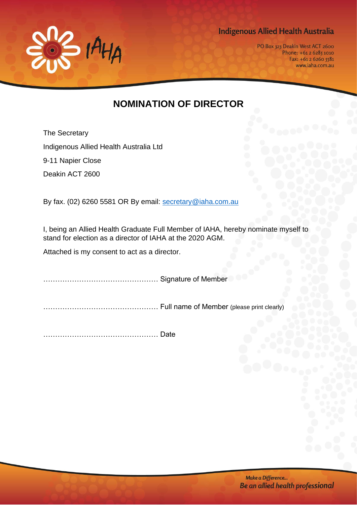**Indigenous Allied Health Australia** 



PO Box 323 Deakin West ACT 2600 Phone: +61 2 6285 1010 Fax: +61 2 6260 5581 www.iaha.com.au

## **NOMINATION OF DIRECTOR**

The Secretary Indigenous Allied Health Australia Ltd 9-11 Napier Close Deakin ACT 2600

By fax. (02) 6260 5581 OR By email: [secretary@iaha.com.au](mailto:secretary@iaha.com.au)

I, being an Allied Health Graduate Full Member of IAHA, hereby nominate myself to stand for election as a director of IAHA at the 2020 AGM.

Attached is my consent to act as a director.

………………………………………… Signature of Member

………………………………………… Full name of Member (please print clearly)

………………………………………… Date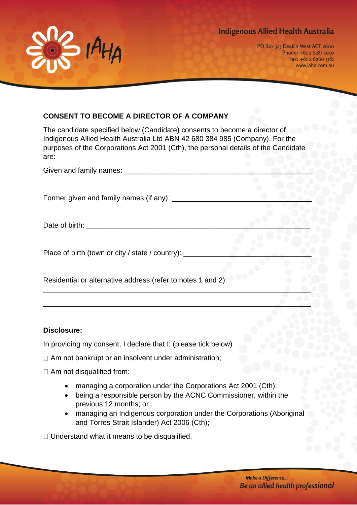



PO Box 323 Deakin West ACT 2600 Phone: +61 2 6285 1010 Fax: +61 2 6260 5581 www.iaha.com.au

## **CONSENT TO BECOME A DIRECTOR OF A COMPANY**

The candidate specified below (Candidate) consents to become a director of Indigenous Allied Health Australia Ltd ABN 42 680 384 985 (Company). For the purposes of the Corporations Act 2001 (Cth), the personal details of the Candidate are:

| Given and family names: ___                      |  |
|--------------------------------------------------|--|
|                                                  |  |
| Former given and family names (if any): ____     |  |
| Date of birth:                                   |  |
|                                                  |  |
| Place of birth (town or city / state / country): |  |

\_\_\_\_\_\_\_\_\_\_\_\_\_\_\_\_\_\_\_\_\_\_\_\_\_\_\_\_\_\_\_\_\_\_\_\_\_\_\_\_\_\_\_\_\_\_\_\_\_\_\_\_\_\_\_\_\_\_\_\_\_\_\_\_\_\_\_

\_\_\_\_\_\_\_\_\_\_\_\_\_\_\_\_\_\_\_\_\_\_\_\_\_\_\_\_\_\_\_\_\_\_\_\_\_\_\_\_\_\_\_\_\_\_\_\_\_\_\_\_\_\_\_\_\_\_\_\_\_\_\_\_\_\_\_

Residential or alternative address (refer to notes 1 and 2):

## **Disclosure:**

In providing my consent, I declare that I: (please tick below)

- □ Am not bankrupt or an insolvent under administration:
- □ Am not disqualified from:
	- managing a corporation under the Corporations Act 2001 (Cth);
	- being a responsible person by the ACNC Commissioner, within the previous 12 months; or
	- managing an Indigenous corporation under the Corporations (Aboriginal and Torres Strait Islander) Act 2006 (Cth);

 $\Box$  Understand what it means to be disqualified.